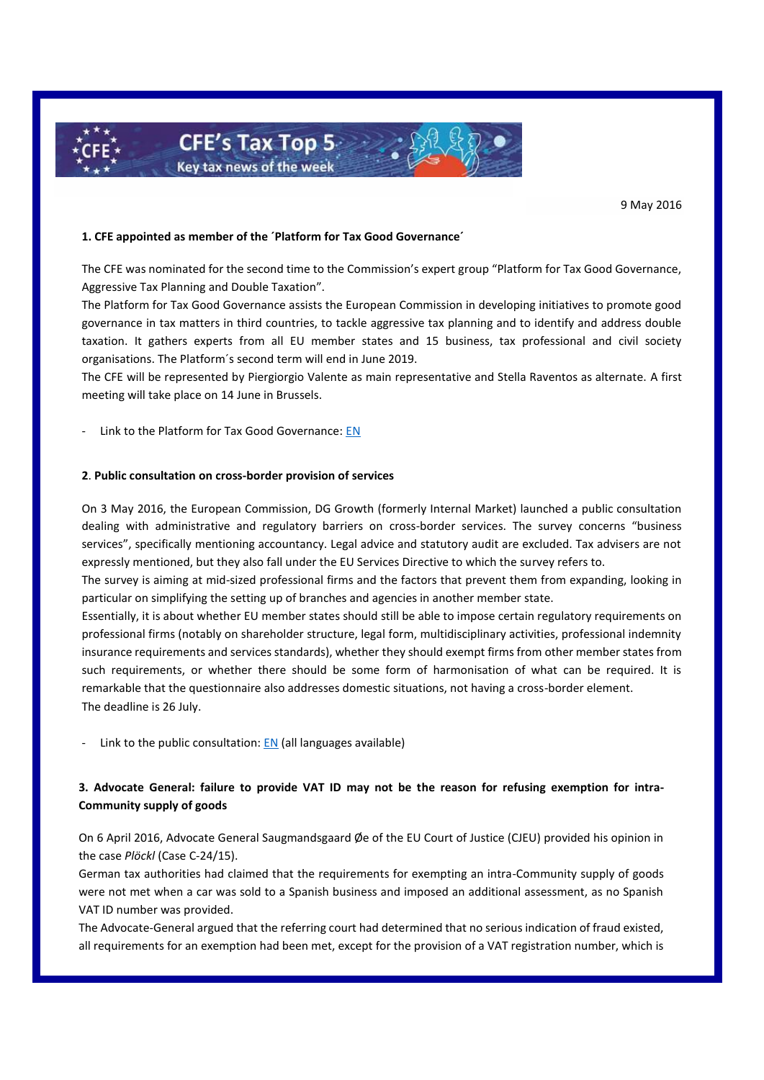

9 May 2016

# **1. CFE appointed as member of the ´Platform for Tax Good Governance´**

The CFE was nominated for the second time to the Commission's expert group "Platform for Tax Good Governance, Aggressive Tax Planning and Double Taxation".

The Platform for Tax Good Governance assists the European Commission in developing initiatives to promote good governance in tax matters in third countries, to tackle aggressive tax planning and to identify and address double taxation. It gathers experts from all EU member states and 15 business, tax professional and civil society organisations. The Platform´s second term will end in June 2019.

The CFE will be represented by Piergiorgio Valente as main representative and Stella Raventos as alternate. A first meeting will take place on 14 June in Brussels.

Link to the Platform for Tax Good Governance[: EN](http://ec.europa.eu/taxation_customs/taxation/gen_info/good_governance_matters/platform/index_en.htm#whatsnew)

#### **2**. **Public consultation on cross-border provision of services**

On 3 May 2016, the European Commission, DG Growth (formerly Internal Market) launched a public consultation dealing with administrative and regulatory barriers on cross-border services. The survey concerns "business services", specifically mentioning accountancy. Legal advice and statutory audit are excluded. Tax advisers are not expressly mentioned, but they also fall under the EU Services Directive to which the survey refers to.

The survey is aiming at mid-sized professional firms and the factors that prevent them from expanding, looking in particular on simplifying the setting up of branches and agencies in another member state.

Essentially, it is about whether EU member states should still be able to impose certain regulatory requirements on professional firms (notably on shareholder structure, legal form, multidisciplinary activities, professional indemnity insurance requirements and services standards), whether they should exempt firms from other member states from such requirements, or whether there should be some form of harmonisation of what can be required. It is remarkable that the questionnaire also addresses domestic situations, not having a cross-border element. The deadline is 26 July.

Link to the public consultation[: EN](http://ec.europa.eu/growth/tools-databases/newsroom/cf/itemdetail.cfm?item_id=8796) (all languages available)

# **3. Advocate General: failure to provide VAT ID may not be the reason for refusing exemption for intra-Community supply of goods**

On 6 April 2016, Advocate General Saugmandsgaard Øe of the EU Court of Justice (CJEU) provided his opinion in the case *Plöckl* (Case C-24/15).

German tax authorities had claimed that the requirements for exempting an intra-Community supply of goods were not met when a car was sold to a Spanish business and imposed an additional assessment, as no Spanish VAT ID number was provided.

The Advocate-General argued that the referring court had determined that no serious indication of fraud existed, all requirements for an exemption had been met, except for the provision of a VAT registration number, which is